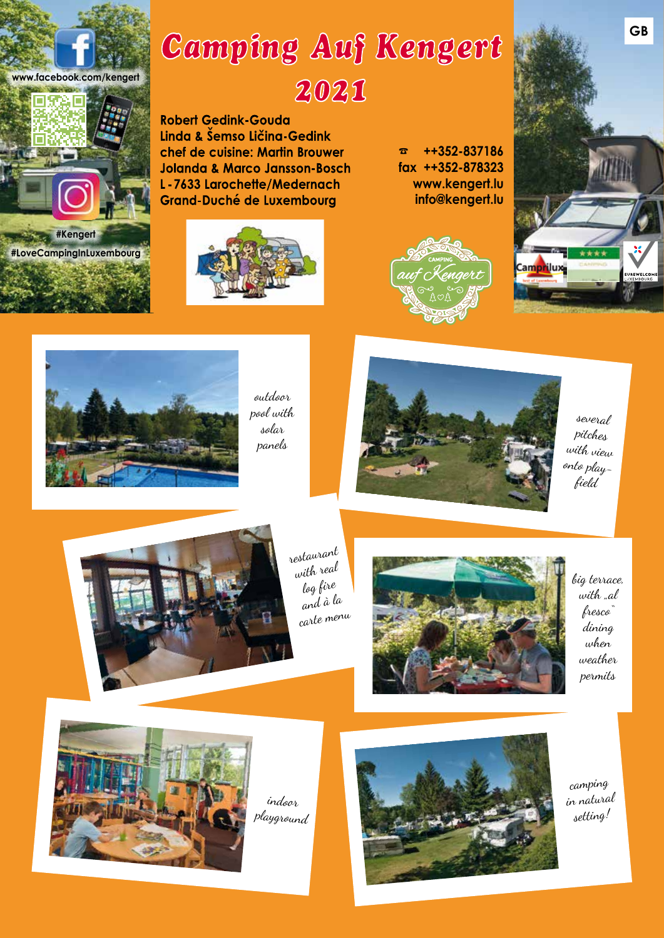

# Camping Auf Kengert 2021

**Robert Gedink-Gouda** Linda & Šemso Ličina-Gedink chef de cuisine: Martin Brouwer **Jolanda & Marco Jansson-Bosch** L-7633 Larochette/Medernach **Grand-Duché de Luxembourg** 



☎ **++352-837186 fax ++352-878323 www.kengert.lu info@kengert.lu**







outdoor pool with solar panels



several pitches with view onto playfield



restaurant with real log fire and à la carte menu



big terrace, with "al fresco" dining when weather permits



indoor playground



camping in natural setting!

**GB**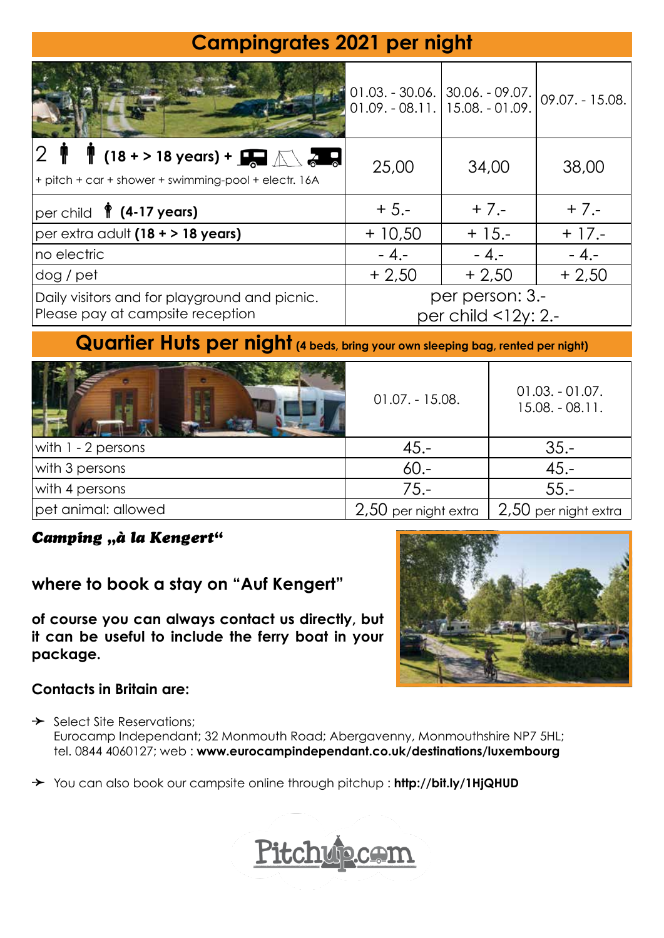# **Campingrates 2021 per night**

|                                                                                                                                                     | $01.09. - 08.11. \mid 15.08. - 01.09.$    | $01.03. - 30.06.$ 30.06. - 09.07. | $09.07. - 15.08.$ |  |
|-----------------------------------------------------------------------------------------------------------------------------------------------------|-------------------------------------------|-----------------------------------|-------------------|--|
| <b>18 + &gt; 18 years) + <math>\mathbf{F}</math></b> $\mathbb{R}$ $\mathbb{R}$ $\mathbb{R}$<br>+ pitch + car + shower + swimming-pool + electr. 16A | 25,00                                     | 34,00                             | 38,00             |  |
| $ per\ $ child $\sqrt{\frac{2}{\pi}}$ (4-17 years)                                                                                                  | $+5,-$                                    | $+7. -$                           | $+ 7. -$          |  |
| $ per$ extra adult $(18 + 18$ years)                                                                                                                | $+10,50$                                  | $+15. -$                          | $+17.5$           |  |
| Ino electric                                                                                                                                        | $-4,-$                                    | $-4,-$                            | $-4,-$            |  |
| dog / pet                                                                                                                                           | $+2,50$                                   | $+2,50$                           | $+2,50$           |  |
| Daily visitors and for playground and picnic.<br>Please pay at campsite reception                                                                   | per person: 3.-<br>per child $<$ 12y: 2.- |                                   |                   |  |

## **Quartier Huts per night (4 beds, bring your own sleeping bag, rented per night)**

|                      | $01.07. - 15.08.$      | $01.03. -01.07.$<br>$15.08. - 08.11.$ |
|----------------------|------------------------|---------------------------------------|
| with $1 - 2$ persons | $45. -$                | $35. -$                               |
| with 3 persons       | $60 -$                 | $45. -$                               |
| with 4 persons       | 75.-                   | $55 -$                                |
| pet animal: allowed  | $2,50$ per night extra | $2,50$ per night extra                |

### Camping "à la Kengert"

### **where to book a stay on "Auf Kengert"**

**of course you can always contact us directly, but it can be useful to include the ferry boat in your package.** 



### **Contacts in Britain are:**

 $\rightarrow$  Select Site Reservations; Eurocamp Independant; 32 Monmouth Road; Abergavenny, Monmouthshire NP7 5HL; tel. 0844 4060127; web : **www.eurocampindependant.co.uk/destinations/luxembourg**

 You can also book our campsite online through pitchup : **http://bit.ly/1HjQHUD**

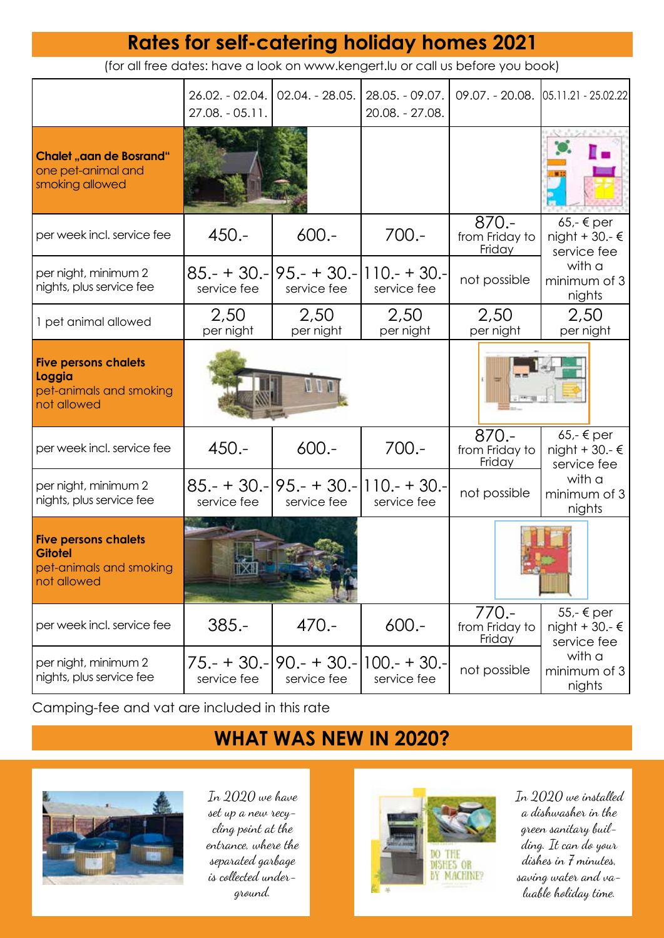# **Rates for self-catering holiday homes 2021**

(for all free dates: have a look on www.kengert.lu or call us before you book)

|                                                                                         | 26.02. - 02.04.<br>$27.08. - 05.11.$ | 02.04. - 28.05.                                     | $28.05. - 09.07.$<br>20.08. - 27.08. |                                     | 09.07. - 20.08. 05.11.21 - 25.02.22             |
|-----------------------------------------------------------------------------------------|--------------------------------------|-----------------------------------------------------|--------------------------------------|-------------------------------------|-------------------------------------------------|
| <b>Chalet "aan de Bosrand"</b><br>one pet-animal and<br>smoking allowed                 |                                      |                                                     |                                      |                                     |                                                 |
| per week incl. service fee                                                              | $450 -$                              | $600 -$                                             | $700 -$                              | $870 -$<br>from Friday to<br>Friday | $65,-$ € per<br>night + 30.- $€$<br>service fee |
| per night, minimum 2<br>nights, plus service fee                                        | service fee                          | $85 - + 30 - 95 - + 30 - 110 - + 30$<br>service fee | service fee                          | not possible                        | with a<br>minimum of 3<br>nights                |
| 1 pet animal allowed                                                                    | 2,50<br>per night                    | 2,50<br>per night                                   | 2,50<br>per night                    | 2,50<br>per night                   | 2,50<br>per night                               |
| <b>Five persons chalets</b><br>Loggia<br>pet-animals and smoking<br>not allowed         |                                      |                                                     |                                      |                                     |                                                 |
| per week incl. service fee                                                              | $450 -$                              | $600 -$                                             | $700 -$                              | $870 -$<br>from Friday to<br>Friday | $65,-$ € per<br>night + 30.- $€$<br>service fee |
| per night, minimum 2<br>nights, plus service fee                                        | service fee                          | $85 - + 30 - 95 - + 30 - 110 - + 30$<br>service fee | service fee                          | not possible                        | with a<br>minimum of 3<br>nights                |
| <b>Five persons chalets</b><br><b>Gitotel</b><br>pet-animals and smoking<br>not allowed |                                      |                                                     |                                      |                                     |                                                 |
| per week incl. service fee                                                              | $385. -$                             | $470 -$                                             | $600 -$                              | $770 -$<br>from Friday to<br>Friday | 55,- € per<br>night + 30.- $€$<br>service fee   |
| per night, minimum 2<br>nights, plus service fee                                        | service fee                          | $75 - 130 - 90 - 30 - 100 - 30 -$<br>service fee    | service fee                          | not possible                        | with a<br>minimum of 3<br>nights                |

Camping-fee and vat are included in this rate

# **WHAT WAS NEW IN 2020?**



In 2020 we have set up a new recycling point at the entrance, where the separated garbage is collected underground.



In 2020 we installed a dishwasher in the green sanitary building. It can do your dishes in 7 minutes, saving water and valuable holiday time.